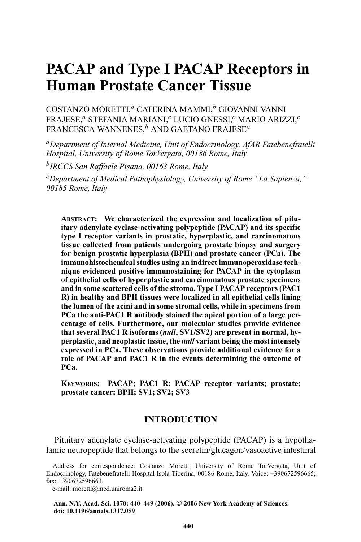# **PACAP and Type I PACAP Receptors in Human Prostate Cancer Tissue**

COSTANZO MORETTI,*<sup>a</sup>* CATERINA MAMMI,*<sup>b</sup>* GIOVANNI VANNI FRAJESE,*<sup>a</sup>* STEFANIA MARIANI,*<sup>c</sup>* LUCIO GNESSI,*<sup>c</sup>* MARIO ARIZZI,*<sup>c</sup>* FRANCESCA WANNENES,*<sup>b</sup>* AND GAETANO FRAJESE*<sup>a</sup>*

*aDepartment of Internal Medicine, Unit of Endocrinology, AfAR Fatebenefratelli Hospital, University of Rome TorVergata, 00186 Rome, Italy*

*bIRCCS San Raffaele Pisana, 00163 Rome, Italy*

*cDepartment of Medical Pathophysiology, University of Rome "La Sapienza," 00185 Rome, Italy*

**ABSTRACT: We characterized the expression and localization of pituitary adenylate cyclase-activating polypeptide (PACAP) and its specific type I receptor variants in prostatic, hyperplastic, and carcinomatous tissue collected from patients undergoing prostate biopsy and surgery for benign prostatic hyperplasia (BPH) and prostate cancer (PCa). The immunohistochemical studies using an indirect immunoperoxidase technique evidenced positive immunostaining for PACAP in the cytoplasm of epithelial cells of hyperplastic and carcinomatous prostate specimens and in some scattered cells of the stroma. Type I PACAP receptors (PAC1 R) in healthy and BPH tissues were localized in all epithelial cells lining the lumen of the acini and in some stromal cells, while in specimens from PCa the anti-PAC1 R antibody stained the apical portion of a large percentage of cells. Furthermore, our molecular studies provide evidence that several PAC1 R isoforms (***null***, SV1/SV2) are present in normal, hyperplastic, and neoplastic tissue, the** *null* **variant being the most intensely expressed in PCa. These observations provide additional evidence for a role of PACAP and PAC1 R in the events determining the outcome of PCa.**

**KEYWORDS: PACAP; PAC1 R; PACAP receptor variants; prostate; prostate cancer; BPH; SV1; SV2; SV3**

## **INTRODUCTION**

Pituitary adenylate cyclase-activating polypeptide (PACAP) is a hypothalamic neuropeptide that belongs to the secretin/glucagon/vasoactive intestinal

e-mail: moretti@med.uniroma2.it

**Ann. N.Y. Acad. Sci. 1070: 440–449 (2006). <sup>C</sup> 2006 New York Academy of Sciences. doi: 10.1196/annals.1317.059**

Address for correspondence: Costanzo Moretti, University of Rome TorVergata, Unit of Endocrinology, Fatebenefratelli Hospital Isola Tiberina, 00186 Rome, Italy. Voice: +390672596665;  $fax: +390672596663.$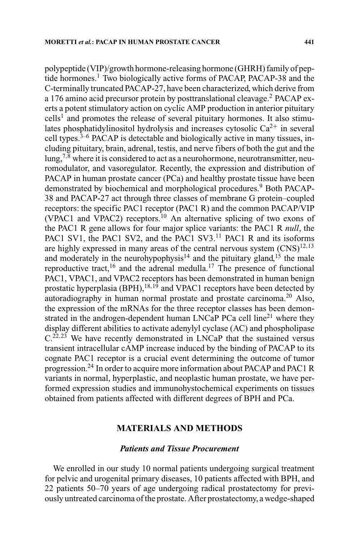polypeptide (VIP)/growth hormone-releasing hormone (GHRH) family of peptide hormones.<sup>1</sup> Two biologically active forms of PACAP, PACAP-38 and the C-terminally truncated PACAP-27, have been characterized, which derive from a 176 amino acid precursor protein by posttranslational cleavage.<sup>2</sup> PACAP exerts a potent stimulatory action on cyclic AMP production in anterior pituitary  $\text{cells}^1$  and promotes the release of several pituitary hormones. It also stimulates phosphatidylinositol hydrolysis and increases cytosolic  $Ca^{2+}$  in several cell types. $3-6$  PACAP is detectable and biologically active in many tissues, including pituitary, brain, adrenal, testis, and nerve fibers of both the gut and the  $\log_{2}$ <sup>7,8</sup> where it is considered to act as a neurohormone, neurotransmitter, neuromodulator, and vasoregulator. Recently, the expression and distribution of PACAP in human prostate cancer (PCa) and healthy prostate tissue have been demonstrated by biochemical and morphological procedures.<sup>9</sup> Both PACAP-38 and PACAP-27 act through three classes of membrane G protein–coupled receptors: the specific PAC1 receptor (PAC1 R) and the common PACAP/VIP (VPAC1 and VPAC2) receptors.<sup>10</sup> An alternative splicing of two exons of the PAC1 R gene allows for four major splice variants: the PAC1 R *null*, the PAC1 SV1, the PAC1 SV2, and the PAC1 SV3.<sup>11</sup> PAC1 R and its isoforms are highly expressed in many areas of the central nervous system  $(CNS)^{12,13}$ and moderately in the neurohypophysis<sup>14</sup> and the pituitary gland,<sup>15</sup> the male reproductive tract,<sup>16</sup> and the adrenal medulla.<sup>17</sup> The presence of functional PAC1, VPAC1, and VPAC2 receptors has been demonstrated in human benign prostatic hyperplasia (BPH), $^{18,19}$  and VPAC1 receptors have been detected by autoradiography in human normal prostate and prostate carcinoma.<sup>20</sup> Also, the expression of the mRNAs for the three receptor classes has been demonstrated in the androgen-dependent human LNCaP PCa cell  $\lim_{n \to \infty} e^{2i}$  where they display different abilities to activate adenylyl cyclase (AC) and phospholipase  $C<sup>22,23</sup>$  We have recently demonstrated in LNCaP that the sustained versus transient intracellular cAMP increase induced by the binding of PACAP to its cognate PAC1 receptor is a crucial event determining the outcome of tumor progression.<sup>24</sup> In order to acquire more information about PACAP and PAC1 R variants in normal, hyperplastic, and neoplastic human prostate, we have performed expression studies and immunohystochemical experiments on tissues obtained from patients affected with different degrees of BPH and PCa.

## **MATERIALS AND METHODS**

## *Patients and Tissue Procurement*

We enrolled in our study 10 normal patients undergoing surgical treatment for pelvic and urogenital primary diseases, 10 patients affected with BPH, and 22 patients 50–70 years of age undergoing radical prostatectomy for previously untreated carcinoma of the prostate. After prostatectomy, a wedge-shaped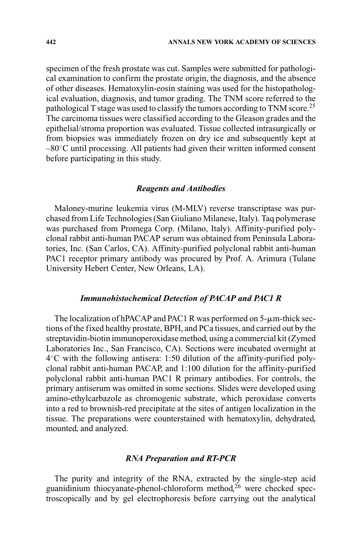specimen of the fresh prostate was cut. Samples were submitted for pathological examination to confirm the prostate origin, the diagnosis, and the absence of other diseases. Hematoxylin-eosin staining was used for the histopathological evaluation, diagnosis, and tumor grading. The TNM score referred to the pathological T stage was used to classify the tumors according to TNM score.<sup>25</sup> The carcinoma tissues were classified according to the Gleason grades and the epithelial/stroma proportion was evaluated. Tissue collected intrasurgically or from biopsies was immediately frozen on dry ice and subsequently kept at –80◦C until processing. All patients had given their written informed consent before participating in this study.

#### *Reagents and Antibodies*

Maloney-murine leukemia virus (M-MLV) reverse transcriptase was purchased from Life Technologies (San Giuliano Milanese, Italy). Taq polymerase was purchased from Promega Corp. (Milano, Italy). Affinity-purified polyclonal rabbit anti-human PACAP serum was obtained from Peninsula Laboratories, Inc. (San Carlos, CA). Affinity-purified polyclonal rabbit anti-human PAC1 receptor primary antibody was procured by Prof. A. Arimura (Tulane University Hebert Center, New Orleans, LA).

#### *Immunohistochemical Detection of PACAP and PAC1 R*

The localization of hPACAP and PAC1 R was performed on  $5-\mu m$ -thick sections of the fixed healthy prostate, BPH, and PCa tissues, and carried out by the streptavidin-biotin immunoperoxidase method, using a commercial kit (Zymed Laboratories Inc., San Francisco, CA). Sections were incubated overnight at 4◦C with the following antisera: 1:50 dilution of the affinity-purified polyclonal rabbit anti-human PACAP, and 1:100 dilution for the affinity-purified polyclonal rabbit anti-human PAC1 R primary antibodies. For controls, the primary antiserum was omitted in some sections. Slides were developed using amino-ethylcarbazole as chromogenic substrate, which peroxidase converts into a red to brownish-red precipitate at the sites of antigen localization in the tissue. The preparations were counterstained with hematoxylin, dehydrated, mounted, and analyzed.

#### *RNA Preparation and RT-PCR*

The purity and integrity of the RNA, extracted by the single-step acid guanidinium thiocyanate-phenol-chloroform method, $^{26}$  were checked spectroscopically and by gel electrophoresis before carrying out the analytical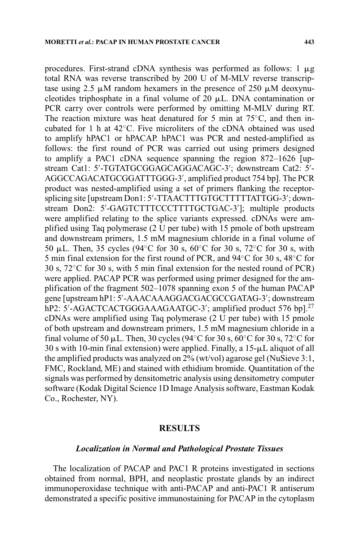procedures. First-strand cDNA synthesis was performed as follows:  $1 \mu g$ total RNA was reverse transcribed by 200 U of M-MLV reverse transcriptase using 2.5  $\mu$ M random hexamers in the presence of 250  $\mu$ M deoxynucleotides triphosphate in a final volume of 20  $\mu$ L. DNA contamination or PCR carry over controls were performed by omitting M-MLV during RT. The reaction mixture was heat denatured for 5 min at  $75^{\circ}$ C, and then incubated for 1 h at 42◦C. Five microliters of the cDNA obtained was used to amplify hPAC1 or hPACAP. hPAC1 was PCR and nested-amplified as follows: the first round of PCR was carried out using primers designed to amplify a PAC1 cDNA sequence spanning the region 872–1626 [upstream Cat1: 5'-TGTATGCGGAGCAGGACAGC-3'; downstream Cat2: 5'-AGGCCAGACATGCGGATTTGGG-3', amplified product 754 bp]. The PCR product was nested-amplified using a set of primers flanking the receptorsplicing site [upstream Don1: 5'-TTAACTTTGTGCTTTTTATTGG-3'; downstream Don2: 5'-GAGTCTTTCCCTTTTGCTGAC-3']; multiple products were amplified relating to the splice variants expressed. cDNAs were amplified using Taq polymerase (2 U per tube) with 15 pmole of both upstream and downstream primers, 1.5 mM magnesium chloride in a final volume of 50 µL. Then, 35 cycles (94°C for 30 s, 60°C for 30 s, 72°C for 30 s, with 5 min final extension for the first round of PCR, and 94◦C for 30 s, 48◦C for  $30 \text{ s}$ ,  $72^{\circ}$ C for 30 s, with 5 min final extension for the nested round of PCR) were applied. PACAP PCR was performed using primer designed for the amplification of the fragment 502–1078 spanning exon 5 of the human PACAP gene [upstream hP1: 5'-AAACAAAGGACGACGCCGATAG-3'; downstream hP2: 5'-AGACTCACTGGGAAAGAATGC-3'; amplified product 576 bp].<sup>27</sup> cDNAs were amplified using Taq polymerase (2 U per tube) with 15 pmole of both upstream and downstream primers, 1.5 mM magnesium chloride in a final volume of 50  $\mu$ L. Then, 30 cycles (94°C for 30 s, 60°C for 30 s, 72°C for  $30 s$  with 10-min final extension) were applied. Finally, a 15- $\mu$ L aliquot of all the amplified products was analyzed on 2% (wt/vol) agarose gel (NuSieve 3:1, FMC, Rockland, ME) and stained with ethidium bromide. Quantitation of the signals was performed by densitometric analysis using densitometry computer software (Kodak Digital Science 1D Image Analysis software, Eastman Kodak Co., Rochester, NY).

#### **RESULTS**

#### *Localization in Normal and Pathological Prostate Tissues*

The localization of PACAP and PAC1 R proteins investigated in sections obtained from normal, BPH, and neoplastic prostate glands by an indirect immunoperoxidase technique with anti-PACAP and anti-PAC1 R antiserum demonstrated a specific positive immunostaining for PACAP in the cytoplasm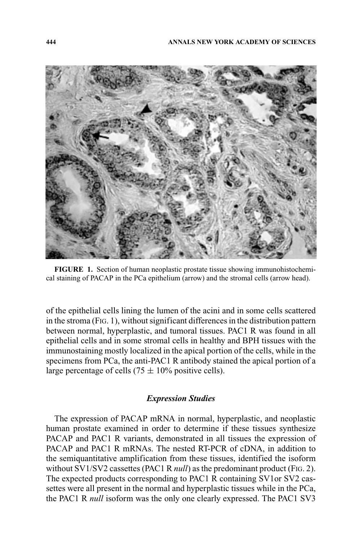

**FIGURE 1.** Section of human neoplastic prostate tissue showing immunohistochemical staining of PACAP in the PCa epithelium (arrow) and the stromal cells (arrow head).

of the epithelial cells lining the lumen of the acini and in some cells scattered in the stroma (FIG. 1), without significant differences in the distribution pattern between normal, hyperplastic, and tumoral tissues. PAC1 R was found in all epithelial cells and in some stromal cells in healthy and BPH tissues with the immunostaining mostly localized in the apical portion of the cells, while in the specimens from PCa, the anti-PAC1 R antibody stained the apical portion of a large percentage of cells  $(75 \pm 10\%$  positive cells).

## *Expression Studies*

The expression of PACAP mRNA in normal, hyperplastic, and neoplastic human prostate examined in order to determine if these tissues synthesize PACAP and PAC1 R variants, demonstrated in all tissues the expression of PACAP and PAC1 R mRNAs. The nested RT-PCR of cDNA, in addition to the semiquantitative amplification from these tissues, identified the isoform without SV1/SV2 cassettes (PAC1 R *null*) as the predominant product (FIG. 2). The expected products corresponding to PAC1 R containing SV1or SV2 cassettes were all present in the normal and hyperplastic tissues while in the PCa, the PAC1 R *null* isoform was the only one clearly expressed. The PAC1 SV3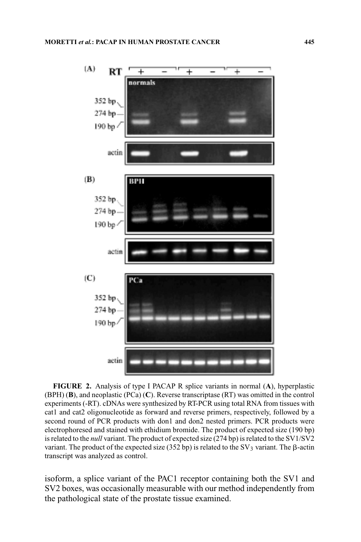

**FIGURE 2.** Analysis of type I PACAP R splice variants in normal (**A**), hyperplastic (BPH) (**B**), and neoplastic (PCa) (**C**). Reverse transcriptase (RT) was omitted in the control experiments (-RT). cDNAs were synthesized by RT-PCR using total RNA from tissues with cat1 and cat2 oligonucleotide as forward and reverse primers, respectively, followed by a second round of PCR products with don1 and don2 nested primers. PCR products were electrophoresed and stained with ethidium bromide. The product of expected size (190 bp) is related to the *null* variant. The product of expected size (274 bp) is related to the SV1/SV2 variant. The product of the expected size  $(352 bp)$  is related to the SV<sub>3</sub> variant. The  $\beta$ -actin transcript was analyzed as control.

isoform, a splice variant of the PAC1 receptor containing both the SV1 and SV2 boxes, was occasionally measurable with our method independently from the pathological state of the prostate tissue examined.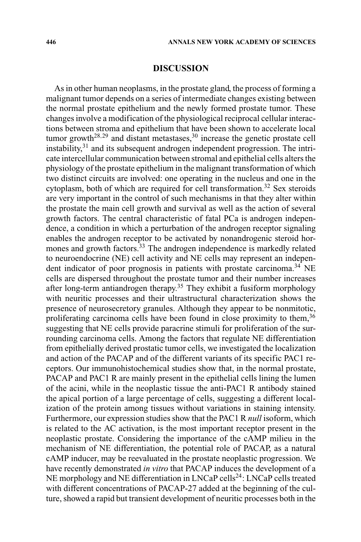## **DISCUSSION**

As in other human neoplasms, in the prostate gland, the process of forming a malignant tumor depends on a series of intermediate changes existing between the normal prostate epithelium and the newly formed prostate tumor. These changes involve a modification of the physiological reciprocal cellular interactions between stroma and epithelium that have been shown to accelerate local tumor growth<sup>28,29</sup> and distant metastases,  $30$  increase the genetic prostate cell instability,<sup>31</sup> and its subsequent androgen independent progression. The intricate intercellular communication between stromal and epithelial cells alters the physiology of the prostate epithelium in the malignant transformation of which two distinct circuits are involved: one operating in the nucleus and one in the cytoplasm, both of which are required for cell transformation.<sup>32</sup> Sex steroids are very important in the control of such mechanisms in that they alter within the prostate the main cell growth and survival as well as the action of several growth factors. The central characteristic of fatal PCa is androgen independence, a condition in which a perturbation of the androgen receptor signaling enables the androgen receptor to be activated by nonandrogenic steroid hormones and growth factors.<sup>33</sup> The androgen independence is markedly related to neuroendocrine (NE) cell activity and NE cells may represent an independent indicator of poor prognosis in patients with prostate carcinoma.<sup>34</sup> NE cells are dispersed throughout the prostate tumor and their number increases after long-term antiandrogen therapy.<sup>35</sup> They exhibit a fusiform morphology with neuritic processes and their ultrastructural characterization shows the presence of neurosecretory granules. Although they appear to be nonmitotic, proliferating carcinoma cells have been found in close proximity to them,  $36$ suggesting that NE cells provide paracrine stimuli for proliferation of the surrounding carcinoma cells. Among the factors that regulate NE differentiation from epithelially derived prostatic tumor cells, we investigated the localization and action of the PACAP and of the different variants of its specific PAC1 receptors. Our immunohistochemical studies show that, in the normal prostate, PACAP and PAC1 R are mainly present in the epithelial cells lining the lumen of the acini, while in the neoplastic tissue the anti-PAC1 R antibody stained the apical portion of a large percentage of cells, suggesting a different localization of the protein among tissues without variations in staining intensity. Furthermore, our expression studies show that the PAC1 R *null* isoform, which is related to the AC activation, is the most important receptor present in the neoplastic prostate. Considering the importance of the cAMP milieu in the mechanism of NE differentiation, the potential role of PACAP, as a natural cAMP inducer, may be reevaluated in the prostate neoplastic progression. We have recently demonstrated *in vitro* that PACAP induces the development of a NE morphology and NE differentiation in  $LNCaP$  cells<sup>24</sup>:  $LNCaP$  cells treated with different concentrations of PACAP-27 added at the beginning of the culture, showed a rapid but transient development of neuritic processes both in the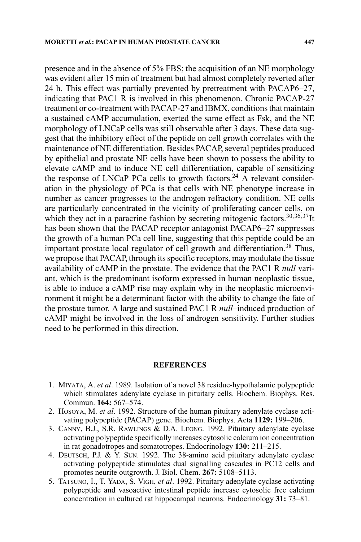presence and in the absence of 5% FBS; the acquisition of an NE morphology was evident after 15 min of treatment but had almost completely reverted after 24 h. This effect was partially prevented by pretreatment with PACAP6–27, indicating that PAC1 R is involved in this phenomenon. Chronic PACAP-27 treatment or co-treatment with PACAP-27 and IBMX, conditions that maintain a sustained cAMP accumulation, exerted the same effect as Fsk, and the NE morphology of LNCaP cells was still observable after 3 days. These data suggest that the inhibitory effect of the peptide on cell growth correlates with the maintenance of NE differentiation. Besides PACAP, several peptides produced by epithelial and prostate NE cells have been shown to possess the ability to elevate cAMP and to induce NE cell differentiation, capable of sensitizing the response of LNCaP PCa cells to growth factors.<sup>24</sup> A relevant consideration in the physiology of PCa is that cells with NE phenotype increase in number as cancer progresses to the androgen refractory condition. NE cells are particularly concentrated in the vicinity of proliferating cancer cells, on which they act in a paracrine fashion by secreting mitogenic factors.<sup>30,36,37</sup>It has been shown that the PACAP receptor antagonist PACAP6–27 suppresses the growth of a human PCa cell line, suggesting that this peptide could be an important prostate local regulator of cell growth and differentiation.<sup>38</sup> Thus, we propose that PACAP, through its specific receptors, may modulate the tissue availability of cAMP in the prostate. The evidence that the PAC1 R *null* variant, which is the predominant isoform expressed in human neoplastic tissue, is able to induce a cAMP rise may explain why in the neoplastic microenvironment it might be a determinant factor with the ability to change the fate of the prostate tumor. A large and sustained PAC1 R *null*–induced production of cAMP might be involved in the loss of androgen sensitivity. Further studies need to be performed in this direction.

#### **REFERENCES**

- 1. MIYATA, A. *et al*. 1989. Isolation of a novel 38 residue-hypothalamic polypeptide which stimulates adenylate cyclase in pituitary cells. Biochem. Biophys. Res. Commun. **164:** 567–574.
- 2. HOSOYA, M. *et al*. 1992. Structure of the human pituitary adenylate cyclase activating polypeptide (PACAP) gene. Biochem. Biophys. Acta **1129:** 199–206.
- 3. CANNY, B.J., S.R. RAWLINGS & D.A. LEONG. 1992. Pituitary adenylate cyclase activating polypeptide specifically increases cytosolic calcium ion concentration in rat gonadotropes and somatotropes. Endocrinology **130:** 211–215.
- 4. DEUTSCH, P.J. & Y. SUN. 1992. The 38-amino acid pituitary adenylate cyclase activating polypeptide stimulates dual signalling cascades in PC12 cells and promotes neurite outgrowth. J. Biol. Chem. **267:** 5108–5113.
- 5. TATSUNO, I., T. YADA, S. VIGH, *et al*. 1992. Pituitary adenylate cyclase activating polypeptide and vasoactive intestinal peptide increase cytosolic free calcium concentration in cultured rat hippocampal neurons. Endocrinology **31:** 73–81.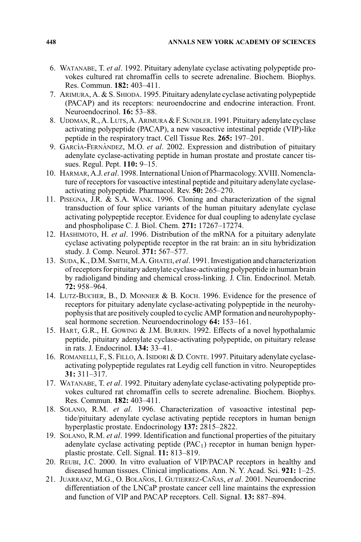- 6. WATANABE, T. *et al*. 1992. Pituitary adenylate cyclase activating polypeptide provokes cultured rat chromaffin cells to secrete adrenaline. Biochem. Biophys. Res. Commun. **182:** 403–411.
- 7. ARIMURA, A. & S. SHIODA. 1995. Pituitary adenylate cyclase activating polypeptide (PACAP) and its receptors: neuroendocrine and endocrine interaction. Front. Neuroendocrinol. **16:** 53–88.
- 8. UDDMAN, R., A. LUTS, A. ARIMURA & F. SUNDLER. 1991. Pituitary adenylate cyclase activating polypeptide (PACAP), a new vasoactive intestinal peptide (VIP)-like peptide in the respiratory tract. Cell Tissue Res. **265:** 197–201.
- 9. GARCIA-FERNANDEZ, M.O. *et al.* 2002. Expression and distribution of pituitary adenylate cyclase-activating peptide in human prostate and prostate cancer tissues. Regul. Pept. **110:** 9–15.
- 10. HARMAR, A.J. *et al*. 1998. International Union of Pharmacology. XVIII. Nomenclature of receptors for vasoactive intestinal peptide and pituitary adenylate cyclaseactivating polypeptide. Pharmacol. Rev. **50:** 265–270.
- 11. PISEGNA, J.R. & S.A. WANK. 1996. Cloning and characterization of the signal transduction of four splice variants of the human pituitary adenylate cyclase activating polypeptide receptor. Evidence for dual coupling to adenylate cyclase and phospholipase C. J. Biol. Chem. **271:** 17267–17274.
- 12. HASHIMOTO, H. *et al*. 1996. Distribution of the mRNA for a pituitary adenylate cyclase activating polypeptide receptor in the rat brain: an in situ hybridization study. J. Comp. Neurol. **371:** 567–577.
- 13. SUDA, K., D.M. SMITH,M.A. GHATEI, *et al*. 1991. Investigation and characterization of receptors for pituitary adenylate cyclase-activating polypeptide in human brain by radioligand binding and chemical cross-linking. J. Clin. Endocrinol. Metab. **72:** 958–964.
- 14. LUTZ-BUCHER, B., D. MONNIER & B. KOCH. 1996. Evidence for the presence of receptors for pituitary adenylate cyclase-activating polypeptide in the neurohypophysis that are positively coupled to cyclic AMP formation and neurohypophyseal hormone secretion. Neuroendocrinology **64:** 153–161.
- 15. HART, G.R., H. GOWING & J.M. BURRIN. 1992. Effects of a novel hypothalamic peptide, pituitary adenylate cyclase-activating polypeptide, on pituitary release in rats. J. Endocrinol. **134:** 33–41.
- 16. ROMANELLI, F., S. FILLO, A. ISIDORI & D. CONTE. 1997. Pituitary adenylate cyclaseactivating polypeptide regulates rat Leydig cell function in vitro. Neuropeptides **31:** 311–317.
- 17. WATANABE, T. *et al*. 1992. Pituitary adenylate cyclase-activating polypeptide provokes cultured rat chromaffin cells to secrete adrenaline. Biochem. Biophys. Res. Commun. **182:** 403–411.
- 18. SOLANO, R.M. *et al*. 1996. Characterization of vasoactive intestinal peptide/pituitary adenylate cyclase activating peptide receptors in human benign hyperplastic prostate. Endocrinology **137:** 2815–2822.
- 19. SOLANO, R.M. *et al*. 1999. Identification and functional properties of the pituitary adenylate cyclase activating peptide  $(PAC<sub>1</sub>)$  receptor in human benign hyperplastic prostate. Cell. Signal. **11:** 813–819.
- 20. REUBI, J.C. 2000. In vitro evaluation of VIP/PACAP receptors in healthy and diseased human tissues. Clinical implications. Ann. N. Y. Acad. Sci. **921:** 1–25.
- 21. JUARRANZ, M.G., O. BOLAÑOS, I. GUTIERREZ-CAÑAS, et al. 2001. Neuroendocrine differentiation of the LNCaP prostate cancer cell line maintains the expression and function of VIP and PACAP receptors. Cell. Signal. **13:** 887–894.